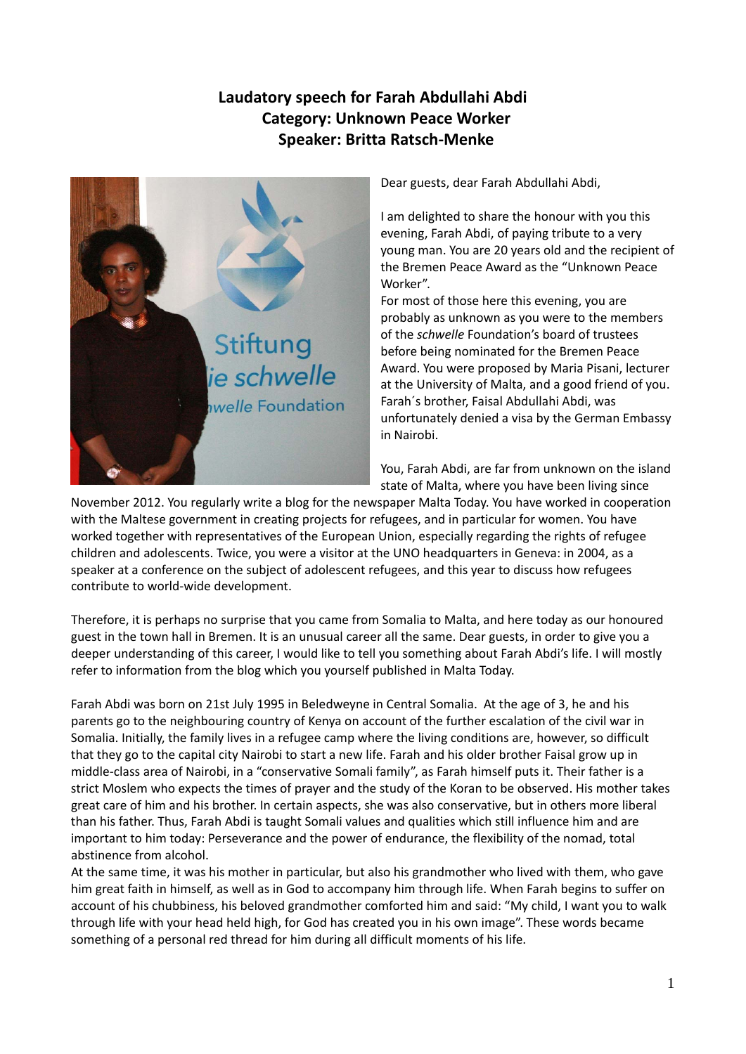## **Laudatory speech for Farah Abdullahi Abdi Category: Unknown Peace Worker Speaker: Britta Ratsch‐Menke**



Dear guests, dear Farah Abdullahi Abdi,

I am delighted to share the honour with you this evening, Farah Abdi, of paying tribute to a very young man. You are 20 years old and the recipient of the Bremen Peace Award as the "Unknown Peace Worker".

For most of those here this evening, you are probably as unknown as you were to the members of the *schwelle* Foundation's board of trustees before being nominated for the Bremen Peace Award. You were proposed by Maria Pisani, lecturer at the University of Malta, and a good friend of you. Farah´s brother, Faisal Abdullahi Abdi, was unfortunately denied a visa by the German Embassy in Nairobi.

You, Farah Abdi, are far from unknown on the island state of Malta, where you have been living since

November 2012. You regularly write a blog for the newspaper Malta Today. You have worked in cooperation with the Maltese government in creating projects for refugees, and in particular for women. You have worked together with representatives of the European Union, especially regarding the rights of refugee children and adolescents. Twice, you were a visitor at the UNO headquarters in Geneva: in 2004, as a speaker at a conference on the subject of adolescent refugees, and this year to discuss how refugees contribute to world‐wide development.

Therefore, it is perhaps no surprise that you came from Somalia to Malta, and here today as our honoured guest in the town hall in Bremen. It is an unusual career all the same. Dear guests, in order to give you a deeper understanding of this career, I would like to tell you something about Farah Abdi's life. I will mostly refer to information from the blog which you yourself published in Malta Today.

Farah Abdi was born on 21st July 1995 in Beledweyne in Central Somalia. At the age of 3, he and his parents go to the neighbouring country of Kenya on account of the further escalation of the civil war in Somalia. Initially, the family lives in a refugee camp where the living conditions are, however, so difficult that they go to the capital city Nairobi to start a new life. Farah and his older brother Faisal grow up in middle‐class area of Nairobi, in a "conservative Somali family", as Farah himself puts it. Their father is a strict Moslem who expects the times of prayer and the study of the Koran to be observed. His mother takes great care of him and his brother. In certain aspects, she was also conservative, but in others more liberal than his father. Thus, Farah Abdi is taught Somali values and qualities which still influence him and are important to him today: Perseverance and the power of endurance, the flexibility of the nomad, total abstinence from alcohol.

At the same time, it was his mother in particular, but also his grandmother who lived with them, who gave him great faith in himself, as well as in God to accompany him through life. When Farah begins to suffer on account of his chubbiness, his beloved grandmother comforted him and said: "My child, I want you to walk through life with your head held high, for God has created you in his own image". These words became something of a personal red thread for him during all difficult moments of his life.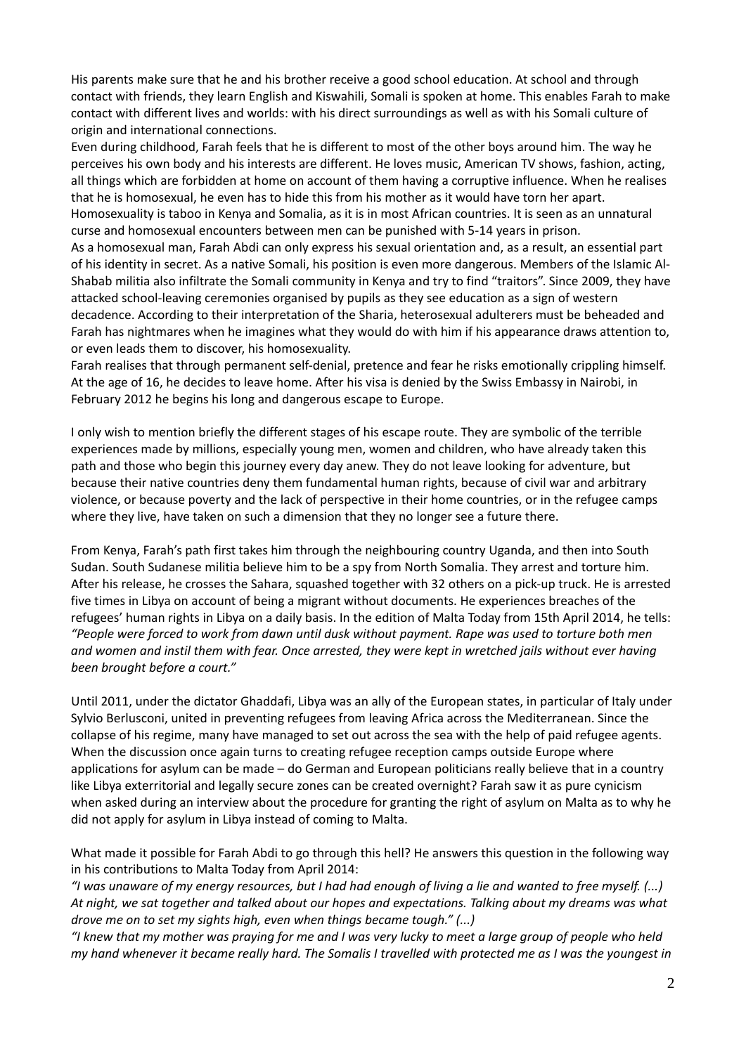His parents make sure that he and his brother receive a good school education. At school and through contact with friends, they learn English and Kiswahili, Somali is spoken at home. This enables Farah to make contact with different lives and worlds: with his direct surroundings as well as with his Somali culture of origin and international connections.

Even during childhood, Farah feels that he is different to most of the other boys around him. The way he perceives his own body and his interests are different. He loves music, American TV shows, fashion, acting, all things which are forbidden at home on account of them having a corruptive influence. When he realises that he is homosexual, he even has to hide this from his mother as it would have torn her apart. Homosexuality is taboo in Kenya and Somalia, as it is in most African countries. It is seen as an unnatural curse and homosexual encounters between men can be punished with 5‐14 years in prison. As a homosexual man, Farah Abdi can only express his sexual orientation and, as a result, an essential part of his identity in secret. As a native Somali, his position is even more dangerous. Members of the Islamic Al‐ Shabab militia also infiltrate the Somali community in Kenya and try to find "traitors". Since 2009, they have attacked school‐leaving ceremonies organised by pupils as they see education as a sign of western decadence. According to their interpretation of the Sharia, heterosexual adulterers must be beheaded and Farah has nightmares when he imagines what they would do with him if his appearance draws attention to, or even leads them to discover, his homosexuality.

Farah realises that through permanent self‐denial, pretence and fear he risks emotionally crippling himself. At the age of 16, he decides to leave home. After his visa is denied by the Swiss Embassy in Nairobi, in February 2012 he begins his long and dangerous escape to Europe.

I only wish to mention briefly the different stages of his escape route. They are symbolic of the terrible experiences made by millions, especially young men, women and children, who have already taken this path and those who begin this journey every day anew. They do not leave looking for adventure, but because their native countries deny them fundamental human rights, because of civil war and arbitrary violence, or because poverty and the lack of perspective in their home countries, or in the refugee camps where they live, have taken on such a dimension that they no longer see a future there.

From Kenya, Farah's path first takes him through the neighbouring country Uganda, and then into South Sudan. South Sudanese militia believe him to be a spy from North Somalia. They arrest and torture him. After his release, he crosses the Sahara, squashed together with 32 others on a pick‐up truck. He is arrested five times in Libya on account of being a migrant without documents. He experiences breaches of the refugees' human rights in Libya on a daily basis. In the edition of Malta Today from 15th April 2014, he tells: "People were forced to work from dawn until dusk without payment. Rape was used to torture both men and women and instil them with fear. Once arrested, they were kept in wretched jails without ever having *been brought before a court."*

Until 2011, under the dictator Ghaddafi, Libya was an ally of the European states, in particular of Italy under Sylvio Berlusconi, united in preventing refugees from leaving Africa across the Mediterranean. Since the collapse of his regime, many have managed to set out across the sea with the help of paid refugee agents. When the discussion once again turns to creating refugee reception camps outside Europe where applications for asylum can be made – do German and European politicians really believe that in a country like Libya exterritorial and legally secure zones can be created overnight? Farah saw it as pure cynicism when asked during an interview about the procedure for granting the right of asylum on Malta as to why he did not apply for asylum in Libya instead of coming to Malta.

What made it possible for Farah Abdi to go through this hell? He answers this question in the following way in his contributions to Malta Today from April 2014:

"I was unaware of my energy resources, but I had had enough of living a lie and wanted to free myself. (...) At night, we sat together and talked about our hopes and expectations. Talking about my dreams was what *drove me on to set my sights high, even when things became tough." (...)*

"I knew that my mother was praying for me and I was very lucky to meet a large group of people who held my hand whenever it became really hard. The Somalis I travelled with protected me as I was the youngest in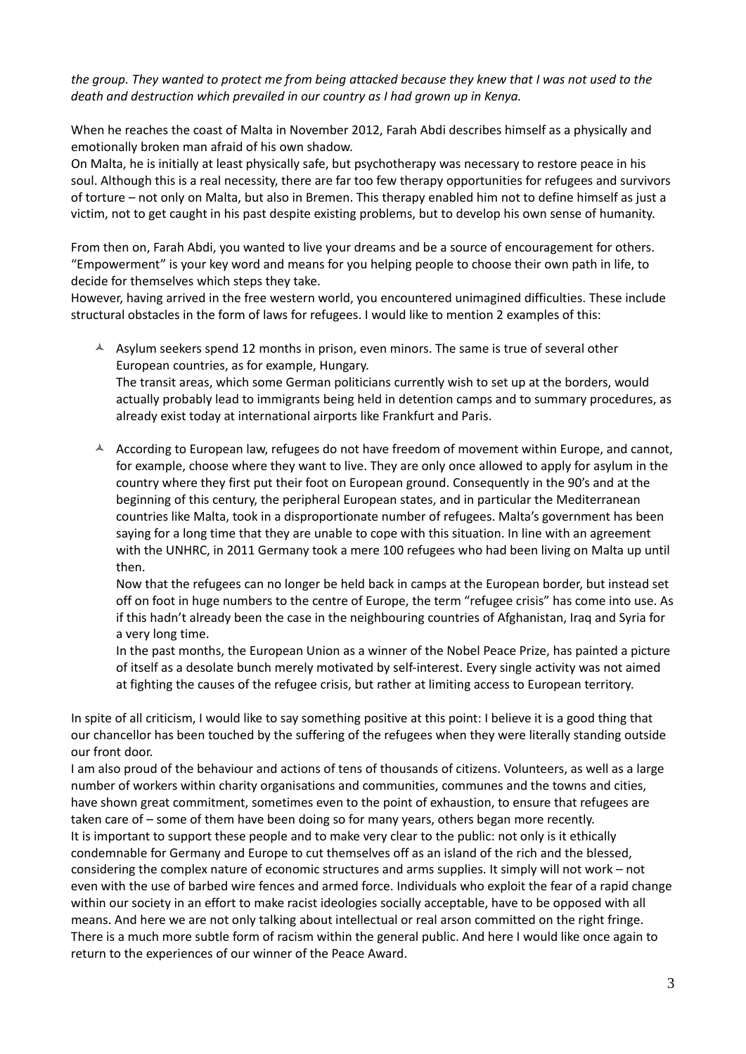the group. They wanted to protect me from being attacked because they knew that I was not used to the *death and destruction which prevailed in our country as I had grown up in Kenya.*

When he reaches the coast of Malta in November 2012, Farah Abdi describes himself as a physically and emotionally broken man afraid of his own shadow.

On Malta, he is initially at least physically safe, but psychotherapy was necessary to restore peace in his soul. Although this is a real necessity, there are far too few therapy opportunities for refugees and survivors of torture – not only on Malta, but also in Bremen. This therapy enabled him not to define himself as just a victim, not to get caught in his past despite existing problems, but to develop his own sense of humanity.

From then on, Farah Abdi, you wanted to live your dreams and be a source of encouragement for others. "Empowerment" is your key word and means for you helping people to choose their own path in life, to decide for themselves which steps they take.

However, having arrived in the free western world, you encountered unimagined difficulties. These include structural obstacles in the form of laws for refugees. I would like to mention 2 examples of this:

 $\AA$  Asylum seekers spend 12 months in prison, even minors. The same is true of several other European countries, as for example, Hungary.

The transit areas, which some German politicians currently wish to set up at the borders, would actually probably lead to immigrants being held in detention camps and to summary procedures, as already exist today at international airports like Frankfurt and Paris.

 $\triangle$  According to European law, refugees do not have freedom of movement within Europe, and cannot, for example, choose where they want to live. They are only once allowed to apply for asylum in the country where they first put their foot on European ground. Consequently in the 90's and at the beginning of this century, the peripheral European states, and in particular the Mediterranean countries like Malta, took in a disproportionate number of refugees. Malta's government has been saying for a long time that they are unable to cope with this situation. In line with an agreement with the UNHRC, in 2011 Germany took a mere 100 refugees who had been living on Malta up until then.

Now that the refugees can no longer be held back in camps at the European border, but instead set off on foot in huge numbers to the centre of Europe, the term "refugee crisis" has come into use. As if this hadn't already been the case in the neighbouring countries of Afghanistan, Iraq and Syria for a very long time.

In the past months, the European Union as a winner of the Nobel Peace Prize, has painted a picture of itself as a desolate bunch merely motivated by self‐interest. Every single activity was not aimed at fighting the causes of the refugee crisis, but rather at limiting access to European territory.

In spite of all criticism, I would like to say something positive at this point: I believe it is a good thing that our chancellor has been touched by the suffering of the refugees when they were literally standing outside our front door.

I am also proud of the behaviour and actions of tens of thousands of citizens. Volunteers, as well as a large number of workers within charity organisations and communities, communes and the towns and cities, have shown great commitment, sometimes even to the point of exhaustion, to ensure that refugees are taken care of – some of them have been doing so for many years, others began more recently. It is important to support these people and to make very clear to the public: not only is it ethically condemnable for Germany and Europe to cut themselves off as an island of the rich and the blessed, considering the complex nature of economic structures and arms supplies. It simply will not work – not even with the use of barbed wire fences and armed force. Individuals who exploit the fear of a rapid change within our society in an effort to make racist ideologies socially acceptable, have to be opposed with all means. And here we are not only talking about intellectual or real arson committed on the right fringe. There is a much more subtle form of racism within the general public. And here I would like once again to return to the experiences of our winner of the Peace Award.